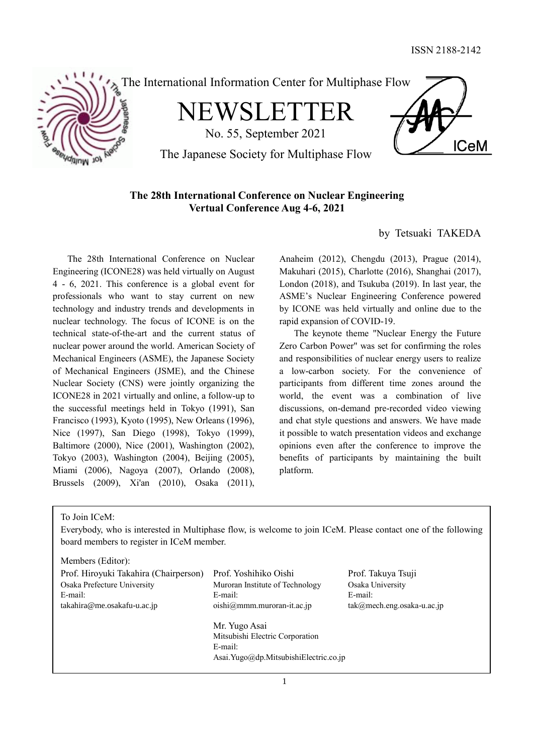

# **The 28th International Conference on Nuclear Engineering Vertual Conference Aug 4-6, 2021**

by Tetsuaki TAKEDA

The 28th International Conference on Nuclear Engineering (ICONE28) was held virtually on August 4 - 6, 2021. This conference is a global event for professionals who want to stay current on new technology and industry trends and developments in nuclear technology. The focus of ICONE is on the technical state-of-the-art and the current status of nuclear power around the world. American Society of Mechanical Engineers (ASME), the Japanese Society of Mechanical Engineers (JSME), and the Chinese Nuclear Society (CNS) were jointly organizing the ICONE28 in 2021 virtually and online, a follow-up to the successful meetings held in Tokyo (1991), San Francisco (1993), Kyoto (1995), New Orleans (1996), Nice (1997), San Diego (1998), Tokyo (1999), Baltimore (2000), Nice (2001), Washington (2002), Tokyo (2003), Washington (2004), Beijing (2005), Miami (2006), Nagoya (2007), Orlando (2008), Brussels (2009), Xi'an (2010), Osaka (2011),

Anaheim (2012), Chengdu (2013), Prague (2014), Makuhari (2015), Charlotte (2016), Shanghai (2017), London (2018), and Tsukuba (2019). In last year, the ASME's Nuclear Engineering Conference powered by ICONE was held virtually and online due to the rapid expansion of COVID-19.

The keynote theme "Nuclear Energy the Future Zero Carbon Power" was set for confirming the roles and responsibilities of nuclear energy users to realize a low-carbon society. For the convenience of participants from different time zones around the world, the event was a combination of live discussions, on-demand pre-recorded video viewing and chat style questions and answers. We have made it possible to watch presentation videos and exchange opinions even after the conference to improve the benefits of participants by maintaining the built platform.

To Join ICeM:

Everybody, who is interested in Multiphase flow, is welcome to join ICeM. Please contact one of the following board members to register in ICeM member.

Members (Editor):

| Prof. Hiroyuki Takahira (Chairperson) | Prof. Yoshihiko Oishi                 | Prof. Takuya Tsuji            |
|---------------------------------------|---------------------------------------|-------------------------------|
| Osaka Prefecture University           | Muroran Institute of Technology       | Osaka University              |
| E-mail:                               | E-mail:                               | E-mail:                       |
| takahira@me.osakafu-u.ac.jp           | $oishi@mmm.muroran-it.ac.jp$          | $tak@mech.eng. osaka-u.ac.jp$ |
|                                       | Mr. Yugo Asai                         |                               |
|                                       | Mitsubishi Electric Corporation       |                               |
|                                       | E-mail:                               |                               |
|                                       | Asai.Yugo@dp.MitsubishiElectric.co.ip |                               |
|                                       |                                       |                               |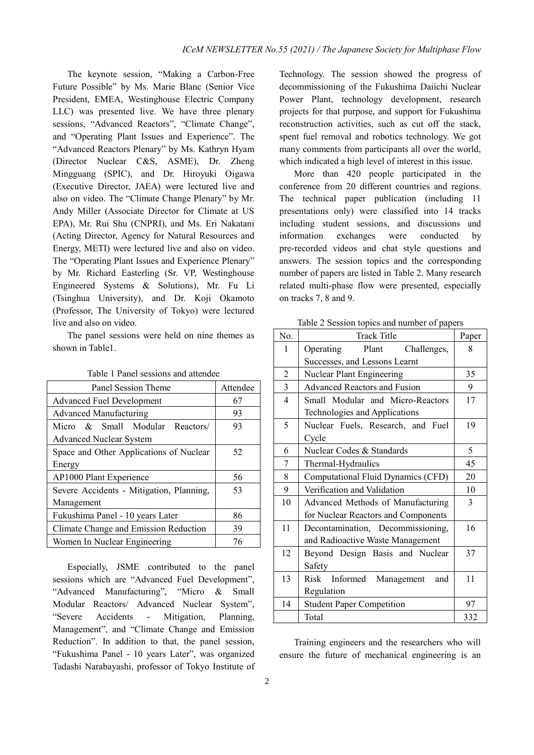The keynote session, "Making a Carbon-Free Future Possible" by Ms. Marie Blanc (Senior Vice President, EMEA, Westinghouse Electric Company LLC) was presented live. We have three plenary sessions, "Advanced Reactors", "Climate Change", and "Operating Plant Issues and Experience". The "Advanced Reactors Plenary" by Ms. Kathryn Hyam (Director Nuclear C&S, ASME), Dr. Zheng Mingguang (SPIC), and Dr. Hiroyuki Oigawa (Executive Director, JAEA) were lectured live and also on video. The "Climate Change Plenary" by Mr. Andy Miller (Associate Director for Climate at US EPA), Mr. Rui Shu (CNPRI), and Ms. Eri Nakatani (Acting Director, Agency for Natural Resources and Energy, METI) were lectured live and also on video. The "Operating Plant Issues and Experience Plenary" by Mr. Richard Easterling (Sr. VP, Westinghouse Engineered Systems & Solutions), Mr. Fu Li (Tsinghua University), and Dr. Koji Okamoto (Professor, The University of Tokyo) were lectured live and also on video.

The panel sessions were held on nine themes as shown in Table1.

| Panel Session Theme                      | Attendee |  |  |  |
|------------------------------------------|----------|--|--|--|
| <b>Advanced Fuel Development</b>         | 67       |  |  |  |
| Advanced Manufacturing                   | 93       |  |  |  |
| Micro & Small Modular Reactors/          | 93       |  |  |  |
| <b>Advanced Nuclear System</b>           |          |  |  |  |
| Space and Other Applications of Nuclear  | 52       |  |  |  |
| Energy                                   |          |  |  |  |
| AP1000 Plant Experience                  | 56       |  |  |  |
| Severe Accidents - Mitigation, Planning, | 53       |  |  |  |
| Management                               |          |  |  |  |
| Fukushima Panel - 10 years Later         | 86       |  |  |  |
| Climate Change and Emission Reduction    | 39       |  |  |  |
| Women In Nuclear Engineering             | 76       |  |  |  |

Table 1 Panel sessions and attendee

Especially, JSME contributed to the panel sessions which are "Advanced Fuel Development", "Advanced Manufacturing", "Micro & Small Modular Reactors/ Advanced Nuclear System", "Severe Accidents - Mitigation, Planning, Management", and "Climate Change and Emission Reduction". In addition to that, the panel session, "Fukushima Panel - 10 years Later", was organized Tadashi Narabayashi, professor of Tokyo Institute of Technology. The session showed the progress of decommissioning of the Fukushima Daiichi Nuclear Power Plant, technology development, research projects for that purpose, and support for Fukushima reconstruction activities, such as cut off the stack, spent fuel removal and robotics technology. We got many comments from participants all over the world, which indicated a high level of interest in this issue.

More than 420 people participated in the conference from 20 different countries and regions. The technical paper publication (including 11 presentations only) were classified into 14 tracks including student sessions, and discussions and information exchanges were conducted by pre-recorded videos and chat style questions and answers. The session topics and the corresponding number of papers are listed in Table 2. Many research related multi-phase flow were presented, especially on tracks 7, 8 and 9.

Table 2 Session topics and number of papers

| N <sub>0</sub> | <b>Track Title</b>                  | Paper |  |
|----------------|-------------------------------------|-------|--|
| 1              | Plant Challenges,<br>Operating      | 8     |  |
|                | Successes, and Lessons Learnt       |       |  |
| $\overline{2}$ | Nuclear Plant Engineering           | 35    |  |
| $\mathfrak{Z}$ | <b>Advanced Reactors and Fusion</b> | 9     |  |
| $\overline{4}$ | Small Modular and Micro-Reactors    | 17    |  |
|                | Technologies and Applications       |       |  |
| 5              | Nuclear Fuels, Research, and Fuel   | 19    |  |
|                | Cycle                               |       |  |
| 6              | Nuclear Codes & Standards           | 5     |  |
| 7              | Thermal-Hydraulics                  | 45    |  |
| 8              | Computational Fluid Dynamics (CFD)  | 20    |  |
| 9              | Verification and Validation         | 10    |  |
| 10             | Advanced Methods of Manufacturing   | 3     |  |
|                | for Nuclear Reactors and Components |       |  |
| 11             | Decontamination, Decommissioning,   | 16    |  |
|                | and Radioactive Waste Management    |       |  |
| 12             | Beyond Design Basis and Nuclear     | 37    |  |
|                | Safety                              |       |  |
| 13             | Risk Informed Management<br>and     | 11    |  |
|                | Regulation                          |       |  |
| 14             | <b>Student Paper Competition</b>    | 97    |  |
|                | Total                               | 332   |  |

Training engineers and the researchers who will ensure the future of mechanical engineering is an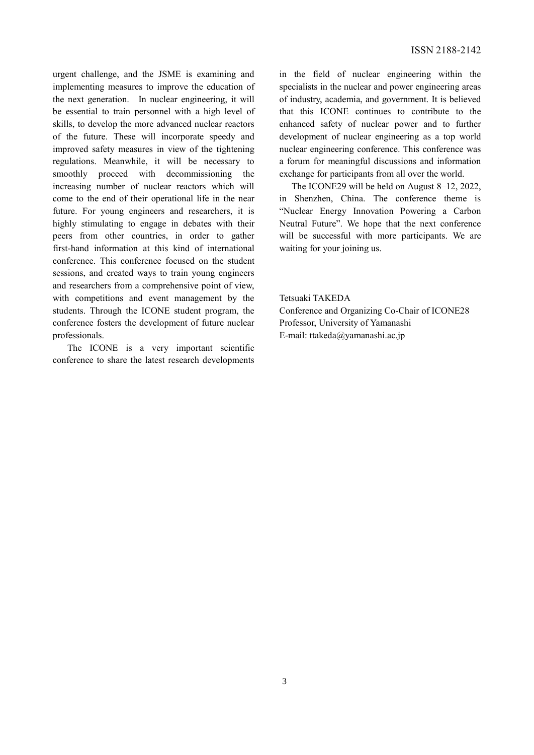urgent challenge, and the JSME is examining and implementing measures to improve the education of the next generation. In nuclear engineering, it will be essential to train personnel with a high level of skills, to develop the more advanced nuclear reactors of the future. These will incorporate speedy and improved safety measures in view of the tightening regulations. Meanwhile, it will be necessary to smoothly proceed with decommissioning the increasing number of nuclear reactors which will come to the end of their operational life in the near future. For young engineers and researchers, it is highly stimulating to engage in debates with their peers from other countries, in order to gather first-hand information at this kind of international conference. This conference focused on the student sessions, and created ways to train young engineers and researchers from a comprehensive point of view, with competitions and event management by the students. Through the ICONE student program, the conference fosters the development of future nuclear professionals.

The ICONE is a very important scientific conference to share the latest research developments in the field of nuclear engineering within the specialists in the nuclear and power engineering areas of industry, academia, and government. It is believed that this ICONE continues to contribute to the enhanced safety of nuclear power and to further development of nuclear engineering as a top world nuclear engineering conference. This conference was a forum for meaningful discussions and information exchange for participants from all over the world.

The ICONE29 will be held on August 8–12, 2022, in Shenzhen, China. The conference theme is "Nuclear Energy Innovation Powering a Carbon Neutral Future". We hope that the next conference will be successful with more participants. We are waiting for your joining us.

Tetsuaki TAKEDA Conference and Organizing Co-Chair of ICONE28 Professor, University of Yamanashi E-mail: ttakeda@yamanashi.ac.jp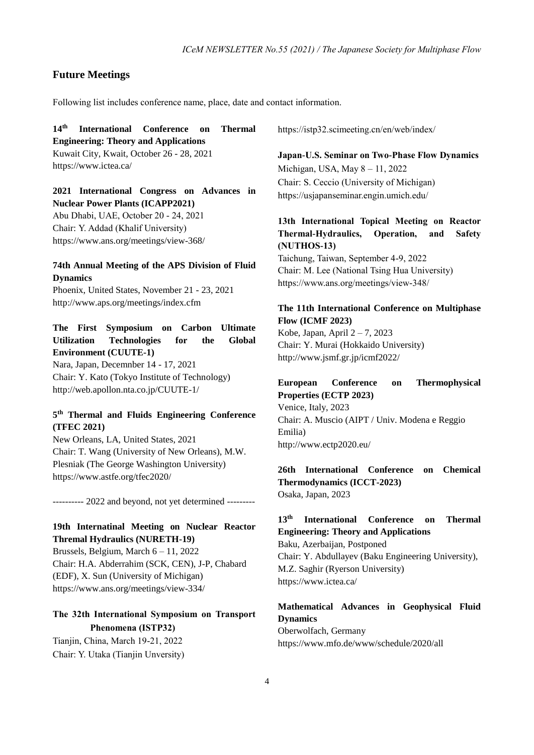#### **Future Meetings**

Following list includes conference name, place, date and contact information.

**14 th International Conference on Thermal Engineering: Theory and Applications** Kuwait City, Kwait, October 26 - 28, 2021

https://www.ictea.ca/

## **2021 International Congress on Advances in Nuclear Power Plants (ICAPP2021)**

Abu Dhabi, UAE, October 20 - 24, 2021 Chair: Y. Addad (Khalif University) https://www.ans.org/meetings/view-368/

#### **74th Annual Meeting of the APS Division of Fluid Dynamics**

Phoenix, United States, November 21 - 23, 2021 http://www.aps.org/meetings/index.cfm

## **The First Symposium on Carbon Ultimate Utilization Technologies for the Global Environment (CUUTE-1)**

Nara, Japan, Decemnber 14 - 17, 2021 Chair: Y. Kato (Tokyo Institute of Technology) http://web.apollon.nta.co.jp/CUUTE-1/

### **5 th Thermal and Fluids Engineering Conference (TFEC 2021)**

New Orleans, LA, United States, 2021 Chair: T. Wang (University of New Orleans), M.W. Plesniak (The George Washington University) https://www.astfe.org/tfec2020/

---------- 2022 and beyond, not yet determined ---------

## **19th Internatinal Meeting on Nuclear Reactor Thremal Hydraulics (NURETH-19)**

Brussels, Belgium, March 6 – 11, 2022 Chair: H.A. Abderrahim (SCK, CEN), J-P, Chabard (EDF), X. Sun (University of Michigan) https://www.ans.org/meetings/view-334/

# **The 32th International Symposium on Transport Phenomena (ISTP32)** Tianjin, China, March 19-21, 2022 Chair: Y. Utaka (Tianjin Unversity)

https://istp32.scimeeting.cn/en/web/index/

**Japan-U.S. Seminar on Two-Phase Flow Dynamics** Michigan, USA, May 8 – 11, 2022 Chair: S. Ceccio (University of Michigan) https://usjapanseminar.engin.umich.edu/

## **13th International Topical Meeting on Reactor Thermal-Hydraulics, Operation, and Safety (NUTHOS-13)**

Taichung, Taiwan, September 4-9, 2022 Chair: M. Lee (National Tsing Hua University) https://www.ans.org/meetings/view-348/

#### **The 11th International Conference on Multiphase Flow (ICMF 2023)**

Kobe, Japan, April 2 – 7, 2023 Chair: Y. Murai (Hokkaido University) http://www.jsmf.gr.jp/icmf2022/

#### **European Conference on Thermophysical Properties (ECTP 2023)** Venice, Italy, 2023

Chair: A. Muscio (AIPT / Univ. Modena e Reggio Emilia) http://www.ectp2020.eu/

#### **26th International Conference on Chemical Thermodynamics (ICCT-2023)** Osaka, Japan, 2023

#### **13th International Conference on Thermal Engineering: Theory and Applications**

Baku, Azerbaijan, Postponed Chair: Y. Abdullayev (Baku Engineering University), M.Z. Saghir (Ryerson University) https://www.ictea.ca/

## **Mathematical Advances in Geophysical Fluid Dynamics**

Oberwolfach, Germany https://www.mfo.de/www/schedule/2020/all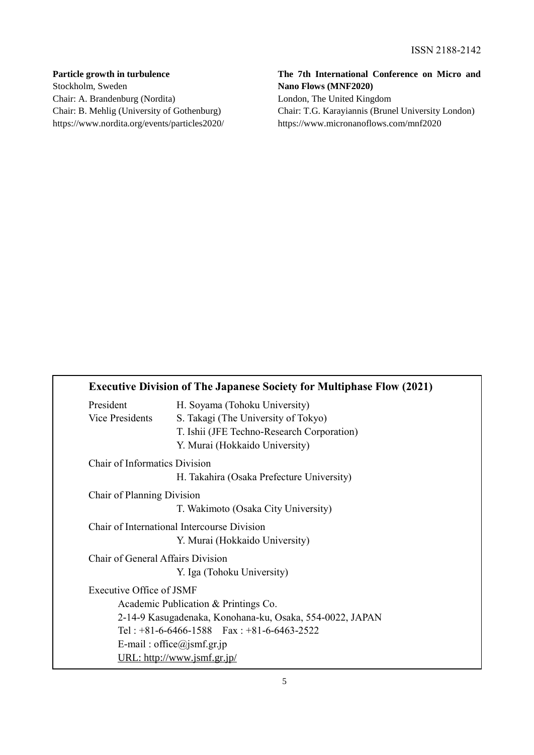# **Particle growth in turbulence** Stockholm, Sweden Chair: A. Brandenburg (Nordita) Chair: B. Mehlig (University of Gothenburg) https://www.nordita.org/events/particles2020/

# **The 7th International Conference on Micro and Nano Flows (MNF2020)**

London, The United Kingdom Chair: T.G. Karayiannis (Brunel University London) https://www.micronanoflows.com/mnf2020

|                                      | <b>Executive Division of The Japanese Society for Multiphase Flow (2021)</b> |
|--------------------------------------|------------------------------------------------------------------------------|
| President                            | H. Soyama (Tohoku University)                                                |
| <b>Vice Presidents</b>               | S. Takagi (The University of Tokyo)                                          |
|                                      | T. Ishii (JFE Techno-Research Corporation)                                   |
|                                      | Y. Murai (Hokkaido University)                                               |
| <b>Chair of Informatics Division</b> |                                                                              |
|                                      | H. Takahira (Osaka Prefecture University)                                    |
| Chair of Planning Division           |                                                                              |
|                                      | T. Wakimoto (Osaka City University)                                          |
|                                      | Chair of International Intercourse Division                                  |
|                                      | Y. Murai (Hokkaido University)                                               |
| Chair of General Affairs Division    |                                                                              |
|                                      | Y. Iga (Tohoku University)                                                   |
| Executive Office of JSMF             |                                                                              |
|                                      | Academic Publication & Printings Co.                                         |
|                                      | 2-14-9 Kasugadenaka, Konohana-ku, Osaka, 554-0022, JAPAN                     |
|                                      | Tel: $+81-6-6466-1588$ Fax: $+81-6-6463-2522$                                |
|                                      | E-mail: office@jsmf.gr.jp                                                    |
|                                      | URL: http://www.jsmf.gr.jp/                                                  |